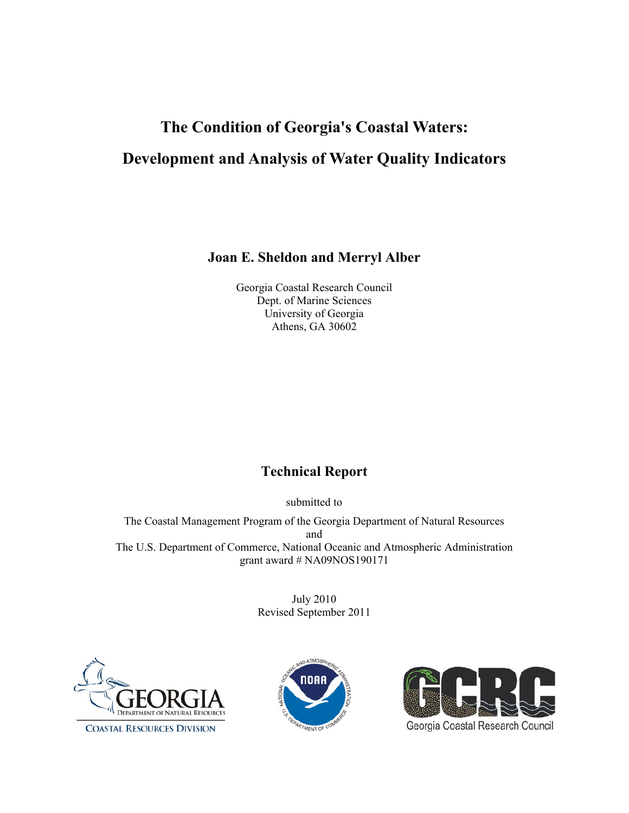# **The Condition of Georgia's Coastal Waters: Development and Analysis of Water Quality Indicators**

**Joan E. Sheldon and Merryl Alber** 

Georgia Coastal Research Council Dept. of Marine Sciences University of Georgia Athens, GA 30602

### **Technical Report**

submitted to

The Coastal Management Program of the Georgia Department of Natural Resources and The U.S. Department of Commerce, National Oceanic and Atmospheric Administration grant award # NA09NOS190171

> July 2010 Revised September 2011





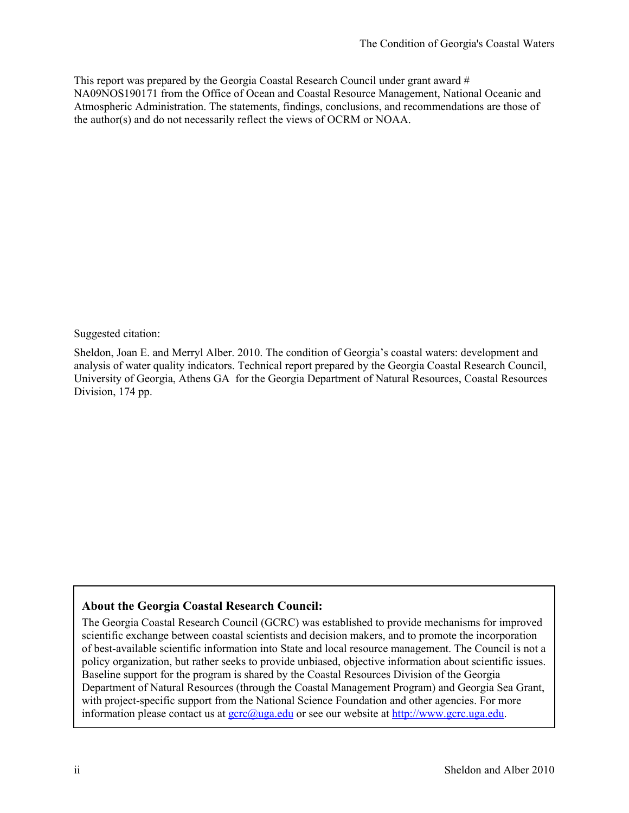This report was prepared by the Georgia Coastal Research Council under grant award # NA09NOS190171 from the Office of Ocean and Coastal Resource Management, National Oceanic and Atmospheric Administration. The statements, findings, conclusions, and recommendations are those of the author(s) and do not necessarily reflect the views of OCRM or NOAA.

Suggested citation:

Sheldon, Joan E. and Merryl Alber. 2010. The condition of Georgia's coastal waters: development and analysis of water quality indicators. Technical report prepared by the Georgia Coastal Research Council, University of Georgia, Athens GA for the Georgia Department of Natural Resources, Coastal Resources Division, 174 pp.

#### **About the Georgia Coastal Research Council:**

The Georgia Coastal Research Council (GCRC) was established to provide mechanisms for improved scientific exchange between coastal scientists and decision makers, and to promote the incorporation of best-available scientific information into State and local resource management. The Council is not a policy organization, but rather seeks to provide unbiased, objective information about scientific issues. Baseline support for the program is shared by the Coastal Resources Division of the Georgia Department of Natural Resources (through the Coastal Management Program) and Georgia Sea Grant, with project-specific support from the National Science Foundation and other agencies. For more information please contact us at [gcrc@uga.edu](mailto:gcrc@uga.edu) or see our website at [http://www.gcrc.uga.edu.](http://www.gcrc.uga.edu/)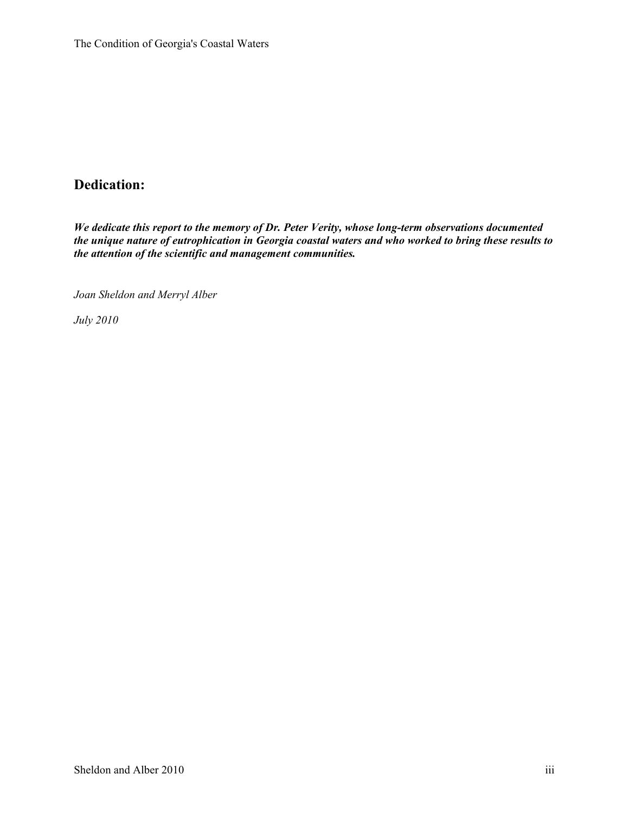### **Dedication:**

*We dedicate this report to the memory of Dr. Peter Verity, whose long-term observations documented the unique nature of eutrophication in Georgia coastal waters and who worked to bring these results to the attention of the scientific and management communities.* 

*Joan Sheldon and Merryl Alber* 

*July 2010*